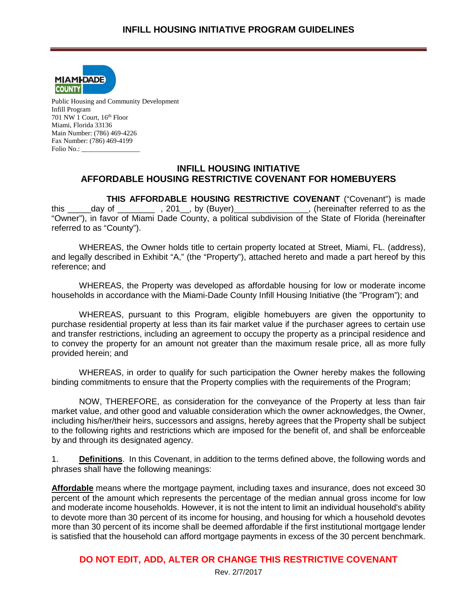

Public Housing and Community Development Infill Program 701 NW 1 Court, 16th Floor Miami, Florida 33136 Main Number: (786) 469-4226 Fax Number: (786) 469-4199 Folio No.: \_\_\_\_\_\_\_\_\_\_\_\_\_\_\_\_\_

### **INFILL HOUSING INITIATIVE AFFORDABLE HOUSING RESTRICTIVE COVENANT FOR HOMEBUYERS**

**THIS AFFORDABLE HOUSING RESTRICTIVE COVENANT** ("Covenant") is made this day of the same of the same of the same of the same of the same of the same of the same of the same of the "Owner"), in favor of Miami Dade County, a political subdivision of the State of Florida (hereinafter referred to as "County").

WHEREAS, the Owner holds title to certain property located at Street, Miami, FL. (address), and legally described in Exhibit "A," (the "Property"), attached hereto and made a part hereof by this reference; and

WHEREAS, the Property was developed as affordable housing for low or moderate income households in accordance with the Miami-Dade County Infill Housing Initiative (the "Program"); and

WHEREAS, pursuant to this Program, eligible homebuyers are given the opportunity to purchase residential property at less than its fair market value if the purchaser agrees to certain use and transfer restrictions, including an agreement to occupy the property as a principal residence and to convey the property for an amount not greater than the maximum resale price, all as more fully provided herein; and

WHEREAS, in order to qualify for such participation the Owner hereby makes the following binding commitments to ensure that the Property complies with the requirements of the Program;

NOW, THEREFORE, as consideration for the conveyance of the Property at less than fair market value, and other good and valuable consideration which the owner acknowledges, the Owner, including his/her/their heirs, successors and assigns, hereby agrees that the Property shall be subject to the following rights and restrictions which are imposed for the benefit of, and shall be enforceable by and through its designated agency.

1. **Definitions**. In this Covenant, in addition to the terms defined above, the following words and phrases shall have the following meanings:

**Affordable** means where the mortgage payment, including taxes and insurance, does not exceed 30 percent of the amount which represents the percentage of the median annual gross income for low and moderate income households. However, it is not the intent to limit an individual household's ability to devote more than 30 percent of its income for housing, and housing for which a household devotes more than 30 percent of its income shall be deemed affordable if the first institutional mortgage lender is satisfied that the household can afford mortgage payments in excess of the 30 percent benchmark.

# **DO NOT EDIT, ADD, ALTER OR CHANGE THIS RESTRICTIVE COVENANT**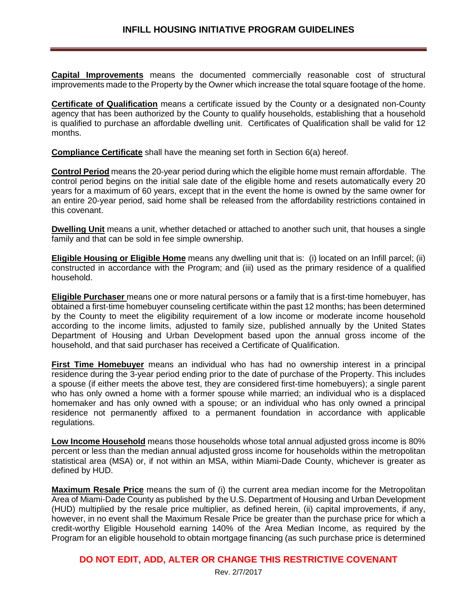**Capital Improvements** means the documented commercially reasonable cost of structural improvements made to the Property by the Owner which increase the total square footage of the home.

**Certificate of Qualification** means a certificate issued by the County or a designated non-County agency that has been authorized by the County to qualify households, establishing that a household is qualified to purchase an affordable dwelling unit. Certificates of Qualification shall be valid for 12 months.

**Compliance Certificate** shall have the meaning set forth in Section 6(a) hereof.

**Control Period** means the 20-year period during which the eligible home must remain affordable. The control period begins on the initial sale date of the eligible home and resets automatically every 20 years for a maximum of 60 years, except that in the event the home is owned by the same owner for an entire 20-year period, said home shall be released from the affordability restrictions contained in this covenant.

**Dwelling Unit** means a unit, whether detached or attached to another such unit, that houses a single family and that can be sold in fee simple ownership.

**Eligible Housing or Eligible Home** means any dwelling unit that is: (i) located on an Infill parcel; (ii) constructed in accordance with the Program; and (iii) used as the primary residence of a qualified household.

**Eligible Purchaser** means one or more natural persons or a family that is a first-time homebuyer, has obtained a first-time homebuyer counseling certificate within the past 12 months; has been determined by the County to meet the eligibility requirement of a low income or moderate income household according to the income limits, adjusted to family size, published annually by the United States Department of Housing and Urban Development based upon the annual gross income of the household, and that said purchaser has received a Certificate of Qualification.

**First Time Homebuyer** means an individual who has had no ownership interest in a principal residence during the 3-year period ending prior to the date of purchase of the Property. This includes a spouse (if either meets the above test, they are considered first-time homebuyers); a single parent who has only owned a home with a former spouse while married; an individual who is a displaced homemaker and has only owned with a spouse; or an individual who has only owned a principal residence not permanently affixed to a permanent foundation in accordance with applicable regulations.

**Low Income Household** means those households whose total annual adjusted gross income is 80% percent or less than the median annual adjusted gross income for households within the metropolitan statistical area (MSA) or, if not within an MSA, within Miami-Dade County, whichever is greater as defined by HUD.

**Maximum Resale Price** means the sum of (i) the current area median income for the Metropolitan Area of Miami-Dade County as published by the U.S. Department of Housing and Urban Development (HUD) multiplied by the resale price multiplier, as defined herein, (ii) capital improvements, if any, however, in no event shall the Maximum Resale Price be greater than the purchase price for which a credit-worthy Eligible Household earning 140% of the Area Median Income, as required by the Program for an eligible household to obtain mortgage financing (as such purchase price is determined

```
DO NOT EDIT, ADD, ALTER OR CHANGE THIS RESTRICTIVE COVENANT
```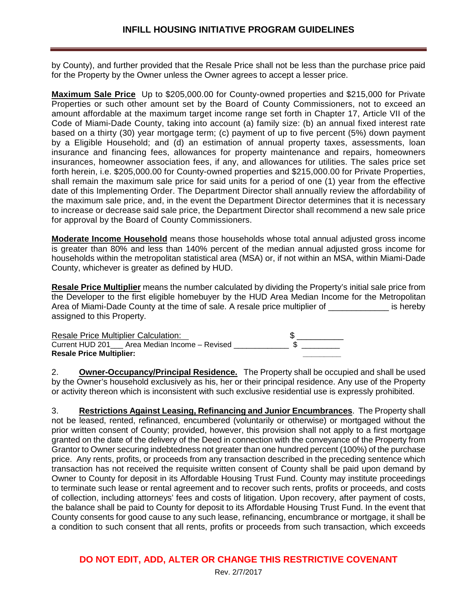by County), and further provided that the Resale Price shall not be less than the purchase price paid for the Property by the Owner unless the Owner agrees to accept a lesser price.

**Maximum Sale Price** Up to \$205,000.00 for County-owned properties and \$215,000 for Private Properties or such other amount set by the Board of County Commissioners, not to exceed an amount affordable at the maximum target income range set forth in Chapter 17, Article VII of the Code of Miami-Dade County, taking into account (a) family size: (b) an annual fixed interest rate based on a thirty (30) year mortgage term; (c) payment of up to five percent (5%) down payment by a Eligible Household; and (d) an estimation of annual property taxes, assessments, loan insurance and financing fees, allowances for property maintenance and repairs, homeowners insurances, homeowner association fees, if any, and allowances for utilities. The sales price set forth herein, i.e. \$205,000.00 for County-owned properties and \$215,000.00 for Private Properties, shall remain the maximum sale price for said units for a period of one (1) year from the effective date of this Implementing Order. The Department Director shall annually review the affordability of the maximum sale price, and, in the event the Department Director determines that it is necessary to increase or decrease said sale price, the Department Director shall recommend a new sale price for approval by the Board of County Commissioners.

**Moderate Income Household** means those households whose total annual adjusted gross income is greater than 80% and less than 140% percent of the median annual adjusted gross income for households within the metropolitan statistical area (MSA) or, if not within an MSA, within Miami-Dade County, whichever is greater as defined by HUD.

**Resale Price Multiplier** means the number calculated by dividing the Property's initial sale price from the Developer to the first eligible homebuyer by the HUD Area Median Income for the Metropolitan Area of Miami-Dade County at the time of sale. A resale price multiplier of Theoretic is hereby assigned to this Property.

Resale Price Multiplier Calculation: \$ \_\_\_\_\_\_\_\_\_\_ Current HUD 201\_\_\_ Area Median Income – Revised \_\_\_\_\_\_\_\_\_\_\_\_\_\_ \$ \_\_\_\_\_\_\_\_\_ **Resale Price Multiplier: \_\_\_\_\_\_\_\_\_**

2. **Owner-Occupancy/Principal Residence.** The Property shall be occupied and shall be used by the Owner's household exclusively as his, her or their principal residence. Any use of the Property or activity thereon which is inconsistent with such exclusive residential use is expressly prohibited.

3. **Restrictions Against Leasing, Refinancing and Junior Encumbrances**. The Property shall not be leased, rented, refinanced, encumbered (voluntarily or otherwise) or mortgaged without the prior written consent of County; provided, however, this provision shall not apply to a first mortgage granted on the date of the delivery of the Deed in connection with the conveyance of the Property from Grantor to Owner securing indebtedness not greater than one hundred percent (100%) of the purchase price. Any rents, profits, or proceeds from any transaction described in the preceding sentence which transaction has not received the requisite written consent of County shall be paid upon demand by Owner to County for deposit in its Affordable Housing Trust Fund. County may institute proceedings to terminate such lease or rental agreement and to recover such rents, profits or proceeds, and costs of collection, including attorneys' fees and costs of litigation. Upon recovery, after payment of costs, the balance shall be paid to County for deposit to its Affordable Housing Trust Fund. In the event that County consents for good cause to any such lease, refinancing, encumbrance or mortgage, it shall be a condition to such consent that all rents, profits or proceeds from such transaction, which exceeds

# **DO NOT EDIT, ADD, ALTER OR CHANGE THIS RESTRICTIVE COVENANT**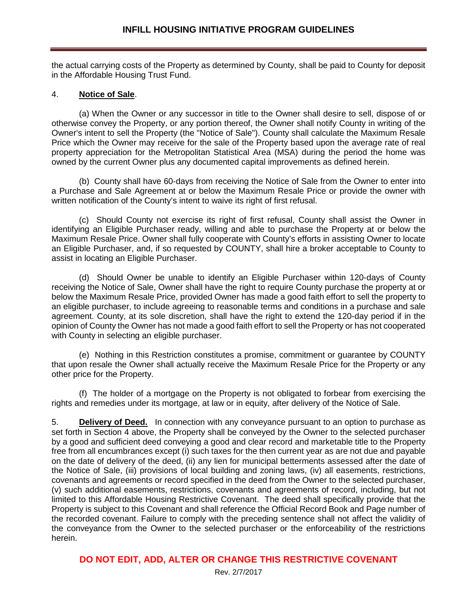the actual carrying costs of the Property as determined by County, shall be paid to County for deposit in the Affordable Housing Trust Fund.

#### 4. **Notice of Sale**.

(a) When the Owner or any successor in title to the Owner shall desire to sell, dispose of or otherwise convey the Property, or any portion thereof, the Owner shall notify County in writing of the Owner's intent to sell the Property (the "Notice of Sale"). County shall calculate the Maximum Resale Price which the Owner may receive for the sale of the Property based upon the average rate of real property appreciation for the Metropolitan Statistical Area (MSA) during the period the home was owned by the current Owner plus any documented capital improvements as defined herein.

(b) County shall have 60-days from receiving the Notice of Sale from the Owner to enter into a Purchase and Sale Agreement at or below the Maximum Resale Price or provide the owner with written notification of the County's intent to waive its right of first refusal.

(c) Should County not exercise its right of first refusal, County shall assist the Owner in identifying an Eligible Purchaser ready, willing and able to purchase the Property at or below the Maximum Resale Price. Owner shall fully cooperate with County's efforts in assisting Owner to locate an Eligible Purchaser, and, if so requested by COUNTY, shall hire a broker acceptable to County to assist in locating an Eligible Purchaser.

(d) Should Owner be unable to identify an Eligible Purchaser within 120-days of County receiving the Notice of Sale, Owner shall have the right to require County purchase the property at or below the Maximum Resale Price, provided Owner has made a good faith effort to sell the property to an eligible purchaser, to include agreeing to reasonable terms and conditions in a purchase and sale agreement. County, at its sole discretion, shall have the right to extend the 120-day period if in the opinion of County the Owner has not made a good faith effort to sell the Property or has not cooperated with County in selecting an eligible purchaser.

(e) Nothing in this Restriction constitutes a promise, commitment or guarantee by COUNTY that upon resale the Owner shall actually receive the Maximum Resale Price for the Property or any other price for the Property.

(f) The holder of a mortgage on the Property is not obligated to forbear from exercising the rights and remedies under its mortgage, at law or in equity, after delivery of the Notice of Sale.

5. **Delivery of Deed.** In connection with any conveyance pursuant to an option to purchase as set forth in Section 4 above, the Property shall be conveyed by the Owner to the selected purchaser by a good and sufficient deed conveying a good and clear record and marketable title to the Property free from all encumbrances except (i) such taxes for the then current year as are not due and payable on the date of delivery of the deed, (ii) any lien for municipal betterments assessed after the date of the Notice of Sale, (iii) provisions of local building and zoning laws, (iv) all easements, restrictions, covenants and agreements or record specified in the deed from the Owner to the selected purchaser, (v) such additional easements, restrictions, covenants and agreements of record, including, but not limited to this Affordable Housing Restrictive Covenant. The deed shall specifically provide that the Property is subject to this Covenant and shall reference the Official Record Book and Page number of the recorded covenant. Failure to comply with the preceding sentence shall not affect the validity of the conveyance from the Owner to the selected purchaser or the enforceability of the restrictions herein.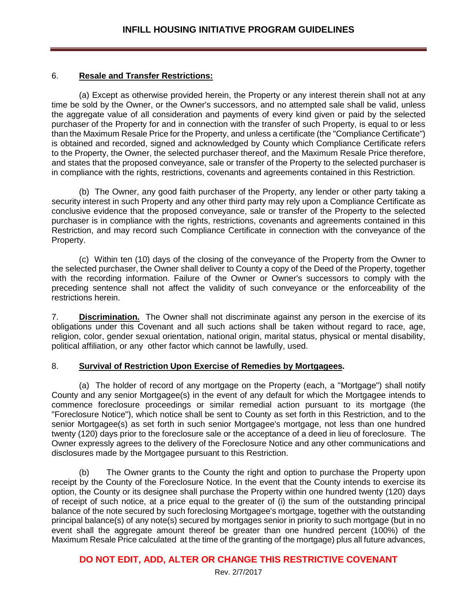#### 6. **Resale and Transfer Restrictions:**

(a) Except as otherwise provided herein, the Property or any interest therein shall not at any time be sold by the Owner, or the Owner's successors, and no attempted sale shall be valid, unless the aggregate value of all consideration and payments of every kind given or paid by the selected purchaser of the Property for and in connection with the transfer of such Property, is equal to or less than the Maximum Resale Price for the Property, and unless a certificate (the "Compliance Certificate") is obtained and recorded, signed and acknowledged by County which Compliance Certificate refers to the Property, the Owner, the selected purchaser thereof, and the Maximum Resale Price therefore, and states that the proposed conveyance, sale or transfer of the Property to the selected purchaser is in compliance with the rights, restrictions, covenants and agreements contained in this Restriction.

(b) The Owner, any good faith purchaser of the Property, any lender or other party taking a security interest in such Property and any other third party may rely upon a Compliance Certificate as conclusive evidence that the proposed conveyance, sale or transfer of the Property to the selected purchaser is in compliance with the rights, restrictions, covenants and agreements contained in this Restriction, and may record such Compliance Certificate in connection with the conveyance of the Property.

(c) Within ten (10) days of the closing of the conveyance of the Property from the Owner to the selected purchaser, the Owner shall deliver to County a copy of the Deed of the Property, together with the recording information. Failure of the Owner or Owner's successors to comply with the preceding sentence shall not affect the validity of such conveyance or the enforceability of the restrictions herein.

7. **Discrimination.** The Owner shall not discriminate against any person in the exercise of its obligations under this Covenant and all such actions shall be taken without regard to race, age, religion, color, gender sexual orientation, national origin, marital status, physical or mental disability, political affiliation, or any other factor which cannot be lawfully, used.

#### 8. **Survival of Restriction Upon Exercise of Remedies by Mortgagees.**

(a) The holder of record of any mortgage on the Property (each, a "Mortgage") shall notify County and any senior Mortgagee(s) in the event of any default for which the Mortgagee intends to commence foreclosure proceedings or similar remedial action pursuant to its mortgage (the "Foreclosure Notice"), which notice shall be sent to County as set forth in this Restriction, and to the senior Mortgagee(s) as set forth in such senior Mortgagee's mortgage, not less than one hundred twenty (120) days prior to the foreclosure sale or the acceptance of a deed in lieu of foreclosure. The Owner expressly agrees to the delivery of the Foreclosure Notice and any other communications and disclosures made by the Mortgagee pursuant to this Restriction.

(b) The Owner grants to the County the right and option to purchase the Property upon receipt by the County of the Foreclosure Notice. In the event that the County intends to exercise its option, the County or its designee shall purchase the Property within one hundred twenty (120) days of receipt of such notice, at a price equal to the greater of (i) the sum of the outstanding principal balance of the note secured by such foreclosing Mortgagee's mortgage, together with the outstanding principal balance(s) of any note(s) secured by mortgages senior in priority to such mortgage (but in no event shall the aggregate amount thereof be greater than one hundred percent (100%) of the Maximum Resale Price calculated at the time of the granting of the mortgage) plus all future advances,

# **DO NOT EDIT, ADD, ALTER OR CHANGE THIS RESTRICTIVE COVENANT**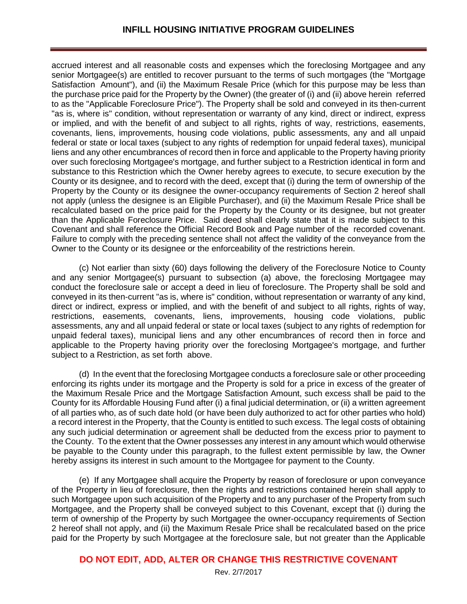#### **INFILL HOUSING INITIATIVE PROGRAM GUIDELINES**

accrued interest and all reasonable costs and expenses which the foreclosing Mortgagee and any senior Mortgagee(s) are entitled to recover pursuant to the terms of such mortgages (the "Mortgage Satisfaction Amount"), and (ii) the Maximum Resale Price (which for this purpose may be less than the purchase price paid for the Property by the Owner) (the greater of (i) and (ii) above herein referred to as the "Applicable Foreclosure Price"). The Property shall be sold and conveyed in its then-current "as is, where is" condition, without representation or warranty of any kind, direct or indirect, express or implied, and with the benefit of and subject to all rights, rights of way, restrictions, easements, covenants, liens, improvements, housing code violations, public assessments, any and all unpaid federal or state or local taxes (subject to any rights of redemption for unpaid federal taxes), municipal liens and any other encumbrances of record then in force and applicable to the Property having priority over such foreclosing Mortgagee's mortgage, and further subject to a Restriction identical in form and substance to this Restriction which the Owner hereby agrees to execute, to secure execution by the County or its designee, and to record with the deed, except that (i) during the term of ownership of the Property by the County or its designee the owner-occupancy requirements of Section 2 hereof shall not apply (unless the designee is an Eligible Purchaser), and (ii) the Maximum Resale Price shall be recalculated based on the price paid for the Property by the County or its designee, but not greater than the Applicable Foreclosure Price. Said deed shall clearly state that it is made subject to this Covenant and shall reference the Official Record Book and Page number of the recorded covenant. Failure to comply with the preceding sentence shall not affect the validity of the conveyance from the Owner to the County or its designee or the enforceability of the restrictions herein.

(c) Not earlier than sixty (60) days following the delivery of the Foreclosure Notice to County and any senior Mortgagee(s) pursuant to subsection (a) above, the foreclosing Mortgagee may conduct the foreclosure sale or accept a deed in lieu of foreclosure. The Property shall be sold and conveyed in its then-current "as is, where is" condition, without representation or warranty of any kind, direct or indirect, express or implied, and with the benefit of and subject to all rights, rights of way, restrictions, easements, covenants, liens, improvements, housing code violations, public assessments, any and all unpaid federal or state or local taxes (subject to any rights of redemption for unpaid federal taxes), municipal liens and any other encumbrances of record then in force and applicable to the Property having priority over the foreclosing Mortgagee's mortgage, and further subject to a Restriction, as set forth above.

(d) In the event that the foreclosing Mortgagee conducts a foreclosure sale or other proceeding enforcing its rights under its mortgage and the Property is sold for a price in excess of the greater of the Maximum Resale Price and the Mortgage Satisfaction Amount, such excess shall be paid to the County for its Affordable Housing Fund after (i) a final judicial determination, or (ii) a written agreement of all parties who, as of such date hold (or have been duly authorized to act for other parties who hold) a record interest in the Property, that the County is entitled to such excess. The legal costs of obtaining any such judicial determination or agreement shall be deducted from the excess prior to payment to the County. To the extent that the Owner possesses any interest in any amount which would otherwise be payable to the County under this paragraph, to the fullest extent permissible by law, the Owner hereby assigns its interest in such amount to the Mortgagee for payment to the County.

(e) If any Mortgagee shall acquire the Property by reason of foreclosure or upon conveyance of the Property in lieu of foreclosure, then the rights and restrictions contained herein shall apply to such Mortgagee upon such acquisition of the Property and to any purchaser of the Property from such Mortgagee, and the Property shall be conveyed subject to this Covenant, except that (i) during the term of ownership of the Property by such Mortgagee the owner-occupancy requirements of Section 2 hereof shall not apply, and (ii) the Maximum Resale Price shall be recalculated based on the price paid for the Property by such Mortgagee at the foreclosure sale, but not greater than the Applicable

## **DO NOT EDIT, ADD, ALTER OR CHANGE THIS RESTRICTIVE COVENANT**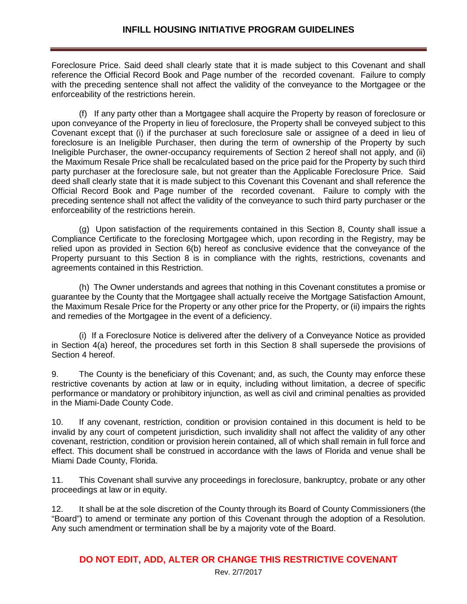Foreclosure Price. Said deed shall clearly state that it is made subject to this Covenant and shall reference the Official Record Book and Page number of the recorded covenant. Failure to comply with the preceding sentence shall not affect the validity of the conveyance to the Mortgagee or the enforceability of the restrictions herein.

(f) If any party other than a Mortgagee shall acquire the Property by reason of foreclosure or upon conveyance of the Property in lieu of foreclosure, the Property shall be conveyed subject to this Covenant except that (i) if the purchaser at such foreclosure sale or assignee of a deed in lieu of foreclosure is an Ineligible Purchaser, then during the term of ownership of the Property by such Ineligible Purchaser, the owner-occupancy requirements of Section 2 hereof shall not apply, and (ii) the Maximum Resale Price shall be recalculated based on the price paid for the Property by such third party purchaser at the foreclosure sale, but not greater than the Applicable Foreclosure Price. Said deed shall clearly state that it is made subject to this Covenant this Covenant and shall reference the Official Record Book and Page number of the recorded covenant. Failure to comply with the preceding sentence shall not affect the validity of the conveyance to such third party purchaser or the enforceability of the restrictions herein.

(g) Upon satisfaction of the requirements contained in this Section 8, County shall issue a Compliance Certificate to the foreclosing Mortgagee which, upon recording in the Registry, may be relied upon as provided in Section 6(b) hereof as conclusive evidence that the conveyance of the Property pursuant to this Section 8 is in compliance with the rights, restrictions, covenants and agreements contained in this Restriction.

(h) The Owner understands and agrees that nothing in this Covenant constitutes a promise or guarantee by the County that the Mortgagee shall actually receive the Mortgage Satisfaction Amount, the Maximum Resale Price for the Property or any other price for the Property, or (ii) impairs the rights and remedies of the Mortgagee in the event of a deficiency.

(i) If a Foreclosure Notice is delivered after the delivery of a Conveyance Notice as provided in Section 4(a) hereof, the procedures set forth in this Section 8 shall supersede the provisions of Section 4 hereof.

9. The County is the beneficiary of this Covenant; and, as such, the County may enforce these restrictive covenants by action at law or in equity, including without limitation, a decree of specific performance or mandatory or prohibitory injunction, as well as civil and criminal penalties as provided in the Miami-Dade County Code.

10. If any covenant, restriction, condition or provision contained in this document is held to be invalid by any court of competent jurisdiction, such invalidity shall not affect the validity of any other covenant, restriction, condition or provision herein contained, all of which shall remain in full force and effect. This document shall be construed in accordance with the laws of Florida and venue shall be Miami Dade County, Florida.

11. This Covenant shall survive any proceedings in foreclosure, bankruptcy, probate or any other proceedings at law or in equity.

12. It shall be at the sole discretion of the County through its Board of County Commissioners (the "Board") to amend or terminate any portion of this Covenant through the adoption of a Resolution. Any such amendment or termination shall be by a majority vote of the Board.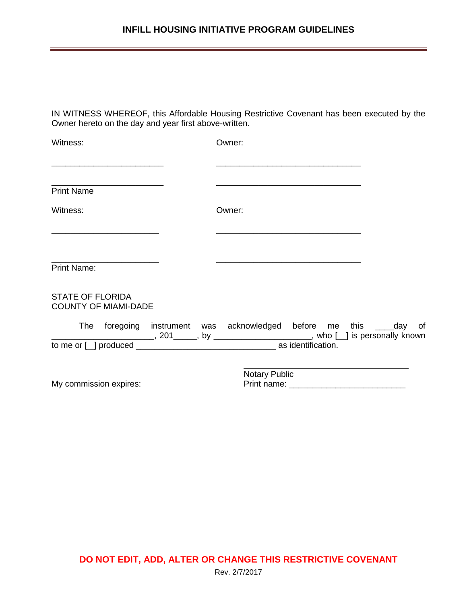## **INFILL HOUSING INITIATIVE PROGRAM GUIDELINES**

IN WITNESS WHEREOF, this Affordable Housing Restrictive Covenant has been executed by the Owner hereto on the day and year first above-written.

| Witness:                                               |               | Owner: |  |  |
|--------------------------------------------------------|---------------|--------|--|--|
|                                                        |               |        |  |  |
| <b>Print Name</b>                                      |               |        |  |  |
| Witness:                                               |               | Owner: |  |  |
|                                                        |               |        |  |  |
| <b>Print Name:</b>                                     |               |        |  |  |
| <b>STATE OF FLORIDA</b><br><b>COUNTY OF MIAMI-DADE</b> |               |        |  |  |
|                                                        |               |        |  |  |
|                                                        |               |        |  |  |
|                                                        | Notary Public |        |  |  |
| My commission expires:                                 |               |        |  |  |

**DO NOT EDIT, ADD, ALTER OR CHANGE THIS RESTRICTIVE COVENANT** Rev. 2/7/2017